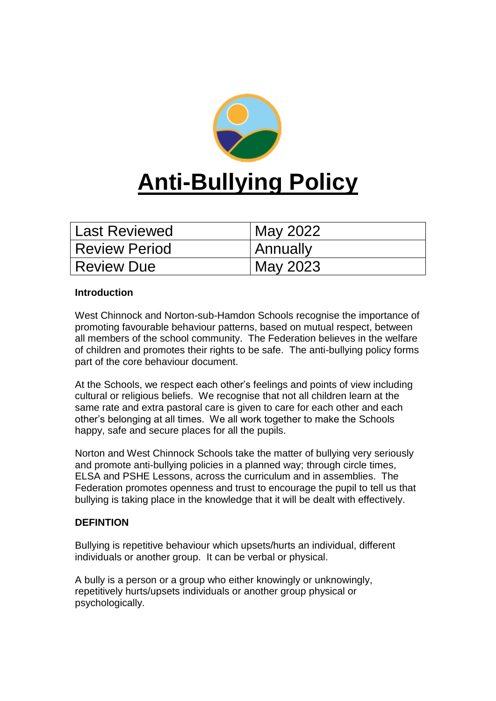

| Last Reviewed        | May 2022 |
|----------------------|----------|
| <b>Review Period</b> | Annually |
| Review Due           | May 2023 |

## **Introduction**

West Chinnock and Norton-sub-Hamdon Schools recognise the importance of promoting favourable behaviour patterns, based on mutual respect, between all members of the school community. The Federation believes in the welfare of children and promotes their rights to be safe. The anti-bullying policy forms part of the core behaviour document.

At the Schools, we respect each other's feelings and points of view including cultural or religious beliefs. We recognise that not all children learn at the same rate and extra pastoral care is given to care for each other and each other's belonging at all times. We all work together to make the Schools happy, safe and secure places for all the pupils.

Norton and West Chinnock Schools take the matter of bullying very seriously and promote anti-bullying policies in a planned way; through circle times, ELSA and PSHE Lessons, across the curriculum and in assemblies. The Federation promotes openness and trust to encourage the pupil to tell us that bullying is taking place in the knowledge that it will be dealt with effectively.

## **DEFINTION**

Bullying is repetitive behaviour which upsets/hurts an individual, different individuals or another group. It can be verbal or physical.

A bully is a person or a group who either knowingly or unknowingly, repetitively hurts/upsets individuals or another group physical or psychologically.